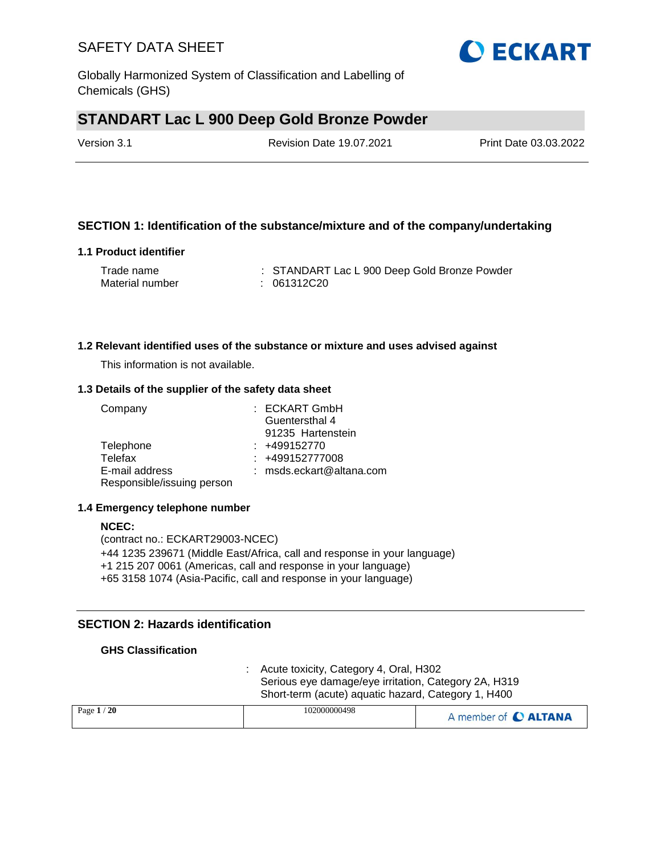Globally Harmonized System of Classification and Labelling of Chemicals (GHS)

## **STANDART Lac L 900 Deep Gold Bronze Powder**

Version 3.1 Revision Date 19.07.2021 Print Date 03.03.2022

## **SECTION 1: Identification of the substance/mixture and of the company/undertaking**

### **1.1 Product identifier**

| Trade name      | : STANDART Lac L 900 Deep Gold Bronze Powder |
|-----------------|----------------------------------------------|
| Material number | : 061312C20                                  |

### **1.2 Relevant identified uses of the substance or mixture and uses advised against**

This information is not available.

### **1.3 Details of the supplier of the safety data sheet**

| Company                    | $:$ ECKART GmbH             |
|----------------------------|-----------------------------|
|                            | Guentersthal 4              |
|                            | 91235 Hartenstein           |
| Telephone                  | $: +499152770$              |
| Telefax                    | $: +499152777008$           |
| E-mail address             | : $msds. eckart@altana.com$ |
| Responsible/issuing person |                             |

### **1.4 Emergency telephone number**

### **NCEC:** (contract no.: ECKART29003-NCEC) +44 1235 239671 (Middle East/Africa, call and response in your language) +1 215 207 0061 (Americas, call and response in your language) +65 3158 1074 (Asia-Pacific, call and response in your language)

## **SECTION 2: Hazards identification**

### **GHS Classification**

: Acute toxicity, Category 4, Oral, H302 Serious eye damage/eye irritation, Category 2A, H319 Short-term (acute) aquatic hazard, Category 1, H400

| Page $1/20$ | 102000000498 | A member of C ALTANA |
|-------------|--------------|----------------------|
|             |              |                      |

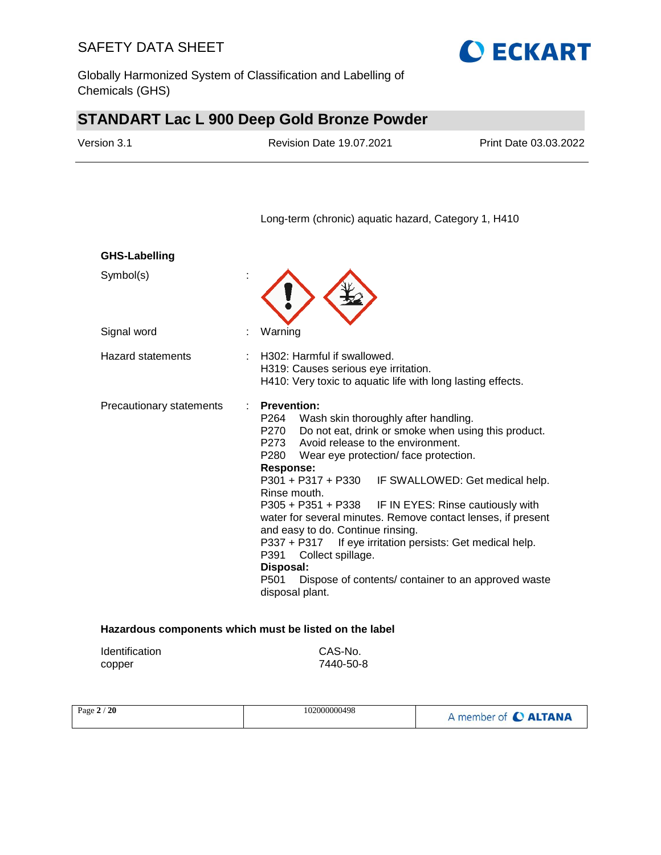Globally Harmonized System of Classification and Labelling of Chemicals (GHS)

# **STANDART Lac L 900 Deep Gold Bronze Powder**

| Version 3.1              | <b>Revision Date 19.07.2021</b>                                                                                                                                         | Print Date 03.03.2022                               |
|--------------------------|-------------------------------------------------------------------------------------------------------------------------------------------------------------------------|-----------------------------------------------------|
|                          | Long-term (chronic) aquatic hazard, Category 1, H410                                                                                                                    |                                                     |
| <b>GHS-Labelling</b>     |                                                                                                                                                                         |                                                     |
| Symbol(s)                |                                                                                                                                                                         |                                                     |
| Signal word              | Warning                                                                                                                                                                 |                                                     |
| <b>Hazard statements</b> | H302: Harmful if swallowed.<br>$\sim$<br>H319: Causes serious eye irritation.<br>H410: Very toxic to aquatic life with long lasting effects.                            |                                                     |
| Precautionary statements | <b>Prevention:</b><br>Wash skin thoroughly after handling.<br>P264<br>P270<br>Avoid release to the environment.<br>P273<br>P280<br>Wear eye protection/face protection. | Do not eat, drink or smoke when using this product. |

**Response:** 

#### P301 + P317 + P330 IF SWALLOWED: Get medical help. Rinse mouth. P305 + P351 + P338 IF IN EYES: Rinse cautiously with water for several minutes. Remove contact lenses, if present and easy to do. Continue rinsing.

P337 + P317 If eye irritation persists: Get medical help. P391 Collect spillage.

#### **Disposal:**

P501 Dispose of contents/ container to an approved waste disposal plant.

## **Hazardous components which must be listed on the label**

| <b>Identification</b> | CAS-No.   |
|-----------------------|-----------|
| copper                | 7440-50-8 |

| Page 2 / 20 | 102000000498 | A member of <b>C ALTANA</b> |
|-------------|--------------|-----------------------------|
|-------------|--------------|-----------------------------|

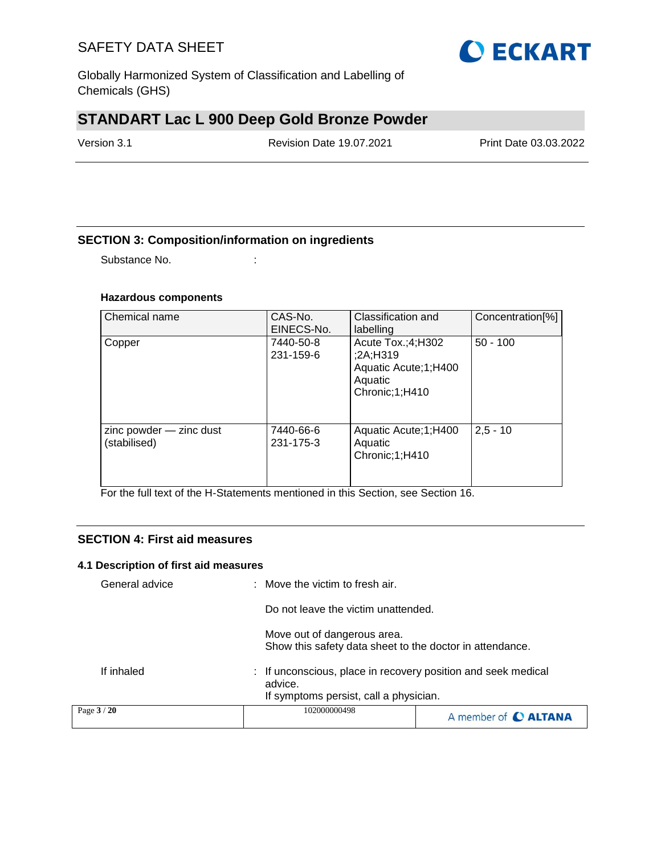Globally Harmonized System of Classification and Labelling of Chemicals (GHS)

## **STANDART Lac L 900 Deep Gold Bronze Powder**

Version 3.1 Revision Date 19.07.2021 Print Date 03.03.2022

## **SECTION 3: Composition/information on ingredients**

Substance No. **:** : :

### **Hazardous components**

| Chemical name                           | CAS-No.<br>EINECS-No.  | Classification and<br>labelling                                                        | Concentration <sup>[%]</sup> |
|-----------------------------------------|------------------------|----------------------------------------------------------------------------------------|------------------------------|
| Copper                                  | 7440-50-8<br>231-159-6 | Acute Tox.;4;H302<br>;2A;H319<br>Aquatic Acute; 1; H400<br>Aquatic<br>Chronic; 1; H410 | $50 - 100$                   |
| zinc powder - zinc dust<br>(stabilised) | 7440-66-6<br>231-175-3 | Aquatic Acute; 1; H400<br>Aquatic<br>Chronic;1;H410                                    | $2,5 - 10$                   |

For the full text of the H-Statements mentioned in this Section, see Section 16.

### **SECTION 4: First aid measures**

#### **4.1 Description of first aid measures**

| Page 3 / 20    | 102000000498                                                                                                                                             | A member of C ALTANA |
|----------------|----------------------------------------------------------------------------------------------------------------------------------------------------------|----------------------|
|                | advice.<br>If symptoms persist, call a physician.                                                                                                        |                      |
| If inhaled     | Move out of dangerous area.<br>Show this safety data sheet to the doctor in attendance.<br>: If unconscious, place in recovery position and seek medical |                      |
|                | Do not leave the victim unattended.                                                                                                                      |                      |
| General advice | : Move the victim to fresh air.                                                                                                                          |                      |

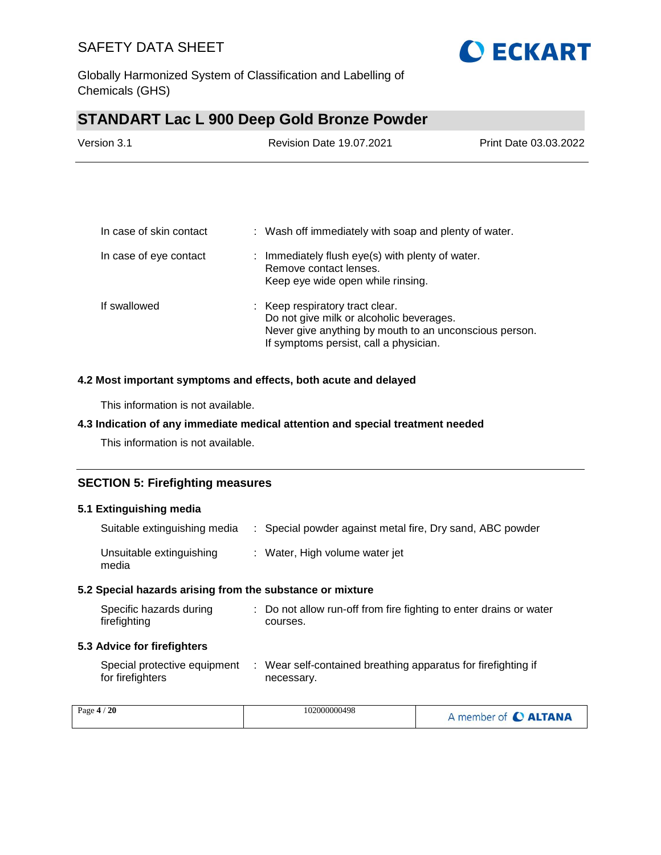

Globally Harmonized System of Classification and Labelling of Chemicals (GHS)

## **STANDART Lac L 900 Deep Gold Bronze Powder**

| Version 3.1 | <b>Revision Date 19.07.2021</b> | Print Date 03.03.2022 |
|-------------|---------------------------------|-----------------------|
|             |                                 |                       |

| In case of skin contact | : Wash off immediately with soap and plenty of water.                                                                                                                           |
|-------------------------|---------------------------------------------------------------------------------------------------------------------------------------------------------------------------------|
| In case of eye contact  | Immediately flush eye(s) with plenty of water.<br>t.<br>Remove contact lenses.<br>Keep eye wide open while rinsing.                                                             |
| If swallowed            | : Keep respiratory tract clear.<br>Do not give milk or alcoholic beverages.<br>Never give anything by mouth to an unconscious person.<br>If symptoms persist, call a physician. |

### **4.2 Most important symptoms and effects, both acute and delayed**

This information is not available.

## **4.3 Indication of any immediate medical attention and special treatment needed**

This information is not available.

## **SECTION 5: Firefighting measures**

### **5.1 Extinguishing media**

| Suitable extinguishing media      | : Special powder against metal fire, Dry sand, ABC powder |
|-----------------------------------|-----------------------------------------------------------|
| Unsuitable extinguishing<br>media | : Water, High volume water jet                            |

### **5.2 Special hazards arising from the substance or mixture**

| Specific hazards during | : Do not allow run-off from fire fighting to enter drains or water |
|-------------------------|--------------------------------------------------------------------|
| firefighting            | courses.                                                           |

#### **5.3 Advice for firefighters**

| Special protective equipment | : Wear self-contained breathing apparatus for firefighting if |
|------------------------------|---------------------------------------------------------------|
| for firefighters             | necessary.                                                    |

| Page $4/$<br>20 | 102000000498 | A member of C ALTANA |
|-----------------|--------------|----------------------|
|-----------------|--------------|----------------------|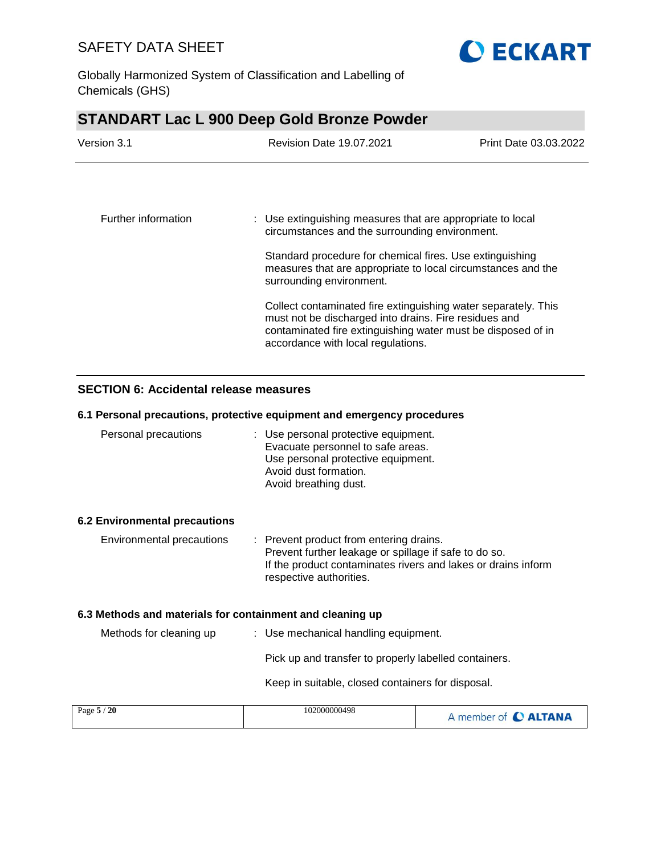

Globally Harmonized System of Classification and Labelling of Chemicals (GHS)

# **STANDART Lac L 900 Deep Gold Bronze Powder**

| Version 3.1         | <b>Revision Date 19.07.2021</b>                                                                                                                                                                                               | Print Date 03.03.2022                                                                                        |  |  |
|---------------------|-------------------------------------------------------------------------------------------------------------------------------------------------------------------------------------------------------------------------------|--------------------------------------------------------------------------------------------------------------|--|--|
|                     |                                                                                                                                                                                                                               |                                                                                                              |  |  |
| Further information |                                                                                                                                                                                                                               | : Use extinguishing measures that are appropriate to local<br>circumstances and the surrounding environment. |  |  |
|                     | Standard procedure for chemical fires. Use extinguishing<br>measures that are appropriate to local circumstances and the<br>surrounding environment.                                                                          |                                                                                                              |  |  |
|                     | Collect contaminated fire extinguishing water separately. This<br>must not be discharged into drains. Fire residues and<br>contaminated fire extinguishing water must be disposed of in<br>accordance with local regulations. |                                                                                                              |  |  |

## **SECTION 6: Accidental release measures**

### **6.1 Personal precautions, protective equipment and emergency procedures**

| Personal precautions                                      | : Use personal protective equipment.<br>Evacuate personnel to safe areas.<br>Use personal protective equipment.<br>Avoid dust formation.<br>Avoid breathing dust.                            |                      |  |  |
|-----------------------------------------------------------|----------------------------------------------------------------------------------------------------------------------------------------------------------------------------------------------|----------------------|--|--|
| 6.2 Environmental precautions                             |                                                                                                                                                                                              |                      |  |  |
| Environmental precautions                                 | : Prevent product from entering drains.<br>Prevent further leakage or spillage if safe to do so.<br>If the product contaminates rivers and lakes or drains inform<br>respective authorities. |                      |  |  |
| 6.3 Methods and materials for containment and cleaning up |                                                                                                                                                                                              |                      |  |  |
| Methods for cleaning up                                   | : Use mechanical handling equipment.                                                                                                                                                         |                      |  |  |
|                                                           | Pick up and transfer to properly labelled containers.                                                                                                                                        |                      |  |  |
|                                                           | Keep in suitable, closed containers for disposal.                                                                                                                                            |                      |  |  |
| Page 5 / 20                                               | 102000000498                                                                                                                                                                                 | A member of C ALTANA |  |  |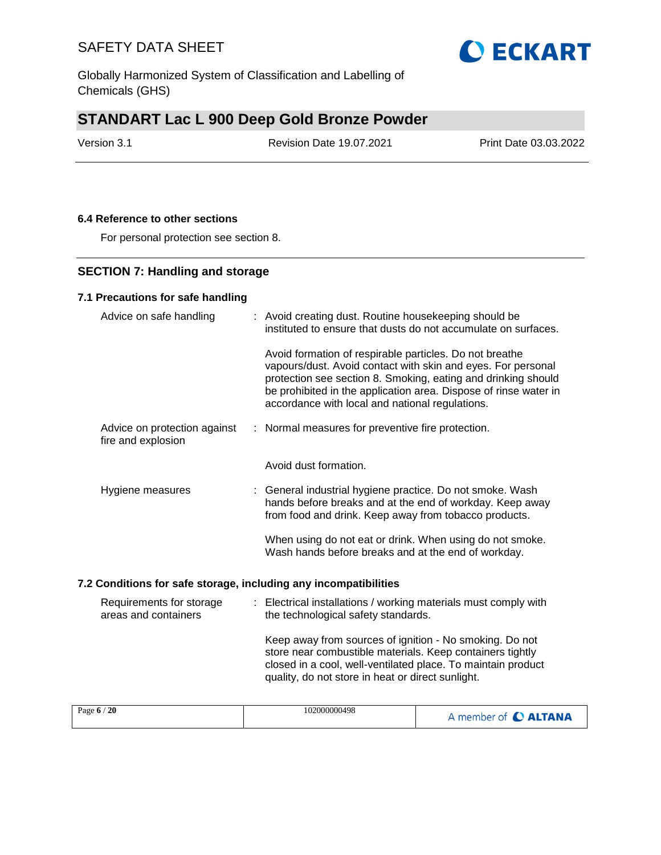Globally Harmonized System of Classification and Labelling of Chemicals (GHS)

# **STANDART Lac L 900 Deep Gold Bronze Powder**

Version 3.1 Revision Date 19.07.2021 Print Date 03.03.2022

### **6.4 Reference to other sections**

For personal protection see section 8.

## **SECTION 7: Handling and storage**

## **7.1 Precautions for safe handling**

| Advice on safe handling                            | : Avoid creating dust. Routine housekeeping should be<br>instituted to ensure that dusts do not accumulate on surfaces.                                                                                                                                                                                         |  |  |
|----------------------------------------------------|-----------------------------------------------------------------------------------------------------------------------------------------------------------------------------------------------------------------------------------------------------------------------------------------------------------------|--|--|
|                                                    | Avoid formation of respirable particles. Do not breathe<br>vapours/dust. Avoid contact with skin and eyes. For personal<br>protection see section 8. Smoking, eating and drinking should<br>be prohibited in the application area. Dispose of rinse water in<br>accordance with local and national regulations. |  |  |
| Advice on protection against<br>fire and explosion | : Normal measures for preventive fire protection.                                                                                                                                                                                                                                                               |  |  |
|                                                    | Avoid dust formation.                                                                                                                                                                                                                                                                                           |  |  |
| Hygiene measures                                   | : General industrial hygiene practice. Do not smoke. Wash<br>hands before breaks and at the end of workday. Keep away<br>from food and drink. Keep away from tobacco products.                                                                                                                                  |  |  |
|                                                    | When using do not eat or drink. When using do not smoke.<br>Wash hands before breaks and at the end of workday.                                                                                                                                                                                                 |  |  |

## **7.2 Conditions for safe storage, including any incompatibilities**

| Requirements for storage | : Electrical installations / working materials must comply with                                                                                                                                                                           |
|--------------------------|-------------------------------------------------------------------------------------------------------------------------------------------------------------------------------------------------------------------------------------------|
| areas and containers     | the technological safety standards.                                                                                                                                                                                                       |
|                          | Keep away from sources of ignition - No smoking. Do not<br>store near combustible materials. Keep containers tightly<br>closed in a cool, well-ventilated place. To maintain product<br>quality, do not store in heat or direct sunlight. |

| 102000000498<br>Page $6/20$<br>A member of C ALTANA |
|-----------------------------------------------------|
|-----------------------------------------------------|

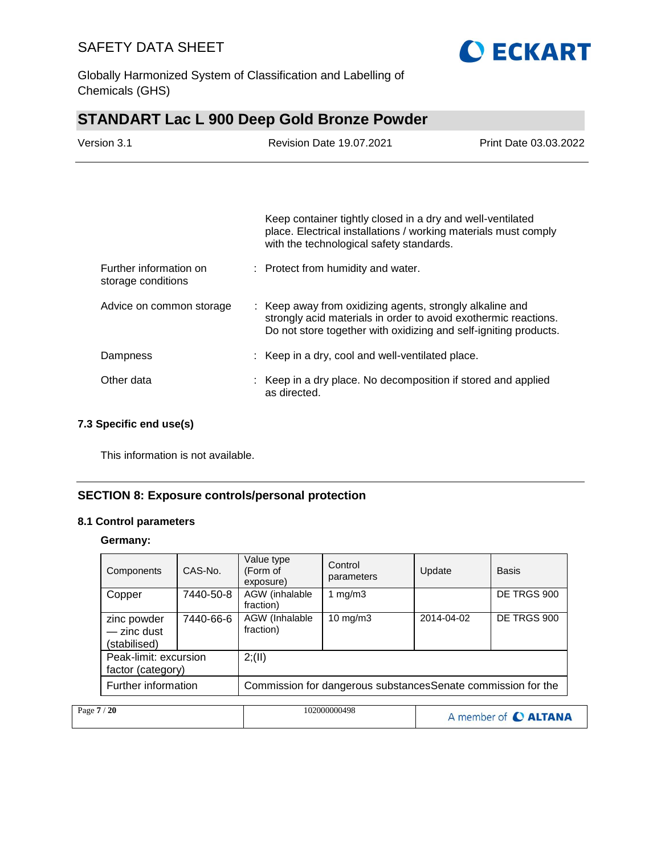

Globally Harmonized System of Classification and Labelling of Chemicals (GHS)

# **STANDART Lac L 900 Deep Gold Bronze Powder**

| Version 3.1                                  | <b>Revision Date 19.07.2021</b><br>Print Date 03.03.2022                                                                                                                                        |  |
|----------------------------------------------|-------------------------------------------------------------------------------------------------------------------------------------------------------------------------------------------------|--|
|                                              |                                                                                                                                                                                                 |  |
|                                              | Keep container tightly closed in a dry and well-ventilated<br>place. Electrical installations / working materials must comply<br>with the technological safety standards.                       |  |
| Further information on<br>storage conditions | : Protect from humidity and water.                                                                                                                                                              |  |
| Advice on common storage                     | : Keep away from oxidizing agents, strongly alkaline and<br>strongly acid materials in order to avoid exothermic reactions.<br>Do not store together with oxidizing and self-igniting products. |  |
| Dampness                                     | : Keep in a dry, cool and well-ventilated place.                                                                                                                                                |  |
| Other data                                   | : Keep in a dry place. No decomposition if stored and applied<br>as directed.                                                                                                                   |  |

## **7.3 Specific end use(s)**

This information is not available.

## **SECTION 8: Exposure controls/personal protection**

### **8.1 Control parameters**

**Germany:**

|             | Components                                 | CAS-No.   | Value type<br>(Form of<br>exposure)                           | Control<br>parameters | Update     | <b>Basis</b>         |
|-------------|--------------------------------------------|-----------|---------------------------------------------------------------|-----------------------|------------|----------------------|
|             | Copper                                     | 7440-50-8 | AGW (inhalable<br>fraction)                                   | 1 $mg/m3$             |            | DE TRGS 900          |
|             | zinc powder<br>- zinc dust<br>(stabilised) | 7440-66-6 | AGW (Inhalable<br>fraction)                                   | $10 \text{ mg/m}$     | 2014-04-02 | DE TRGS 900          |
|             | Peak-limit: excursion<br>factor (category) |           | 2; (II)                                                       |                       |            |                      |
|             | Further information                        |           | Commission for dangerous substances Senate commission for the |                       |            |                      |
| Page 7 / 20 |                                            |           |                                                               | 102000000498          |            | A member of C ALTANA |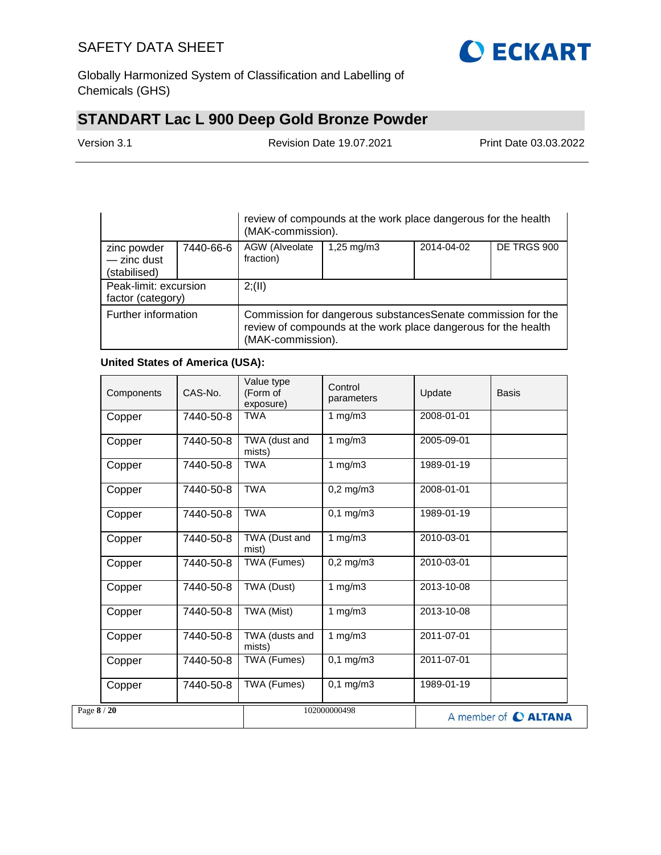

Globally Harmonized System of Classification and Labelling of Chemicals (GHS)

# **STANDART Lac L 900 Deep Gold Bronze Powder**

Version 3.1 Revision Date 19.07.2021 Print Date 03.03.2022

|                                              |           | review of compounds at the work place dangerous for the health<br>(MAK-commission).                                                                  |                         |            |             |  |
|----------------------------------------------|-----------|------------------------------------------------------------------------------------------------------------------------------------------------------|-------------------------|------------|-------------|--|
| zinc powder<br>$-$ zinc dust<br>(stabilised) | 7440-66-6 | AGW (Alveolate<br>fraction)                                                                                                                          | $1,25 \, \text{mg/m}$ 3 | 2014-04-02 | DE TRGS 900 |  |
| Peak-limit: excursion<br>factor (category)   |           | 2; (II)                                                                                                                                              |                         |            |             |  |
| Further information                          |           | Commission for dangerous substances Senate commission for the<br>review of compounds at the work place dangerous for the health<br>(MAK-commission). |                         |            |             |  |

## **United States of America (USA):**

| Components  | CAS-No.   | Value type<br>(Form of<br>exposure) | Control<br>parameters | Update     | <b>Basis</b>         |
|-------------|-----------|-------------------------------------|-----------------------|------------|----------------------|
| Copper      | 7440-50-8 | <b>TWA</b>                          | 1 $mg/m3$             | 2008-01-01 |                      |
| Copper      | 7440-50-8 | TWA (dust and<br>mists)             | 1 $mg/m3$             | 2005-09-01 |                      |
| Copper      | 7440-50-8 | <b>TWA</b>                          | 1 $mg/m3$             | 1989-01-19 |                      |
| Copper      | 7440-50-8 | <b>TWA</b>                          | $0,2$ mg/m $3$        | 2008-01-01 |                      |
| Copper      | 7440-50-8 | <b>TWA</b>                          | $0,1$ mg/m $3$        | 1989-01-19 |                      |
| Copper      | 7440-50-8 | TWA (Dust and<br>mist)              | 1 mg/m $\overline{3}$ | 2010-03-01 |                      |
| Copper      | 7440-50-8 | TWA (Fumes)                         | $0,2$ mg/m $3$        | 2010-03-01 |                      |
| Copper      | 7440-50-8 | TWA (Dust)                          | 1 $mg/m3$             | 2013-10-08 |                      |
| Copper      | 7440-50-8 | TWA (Mist)                          | 1 $mg/m3$             | 2013-10-08 |                      |
| Copper      | 7440-50-8 | TWA (dusts and<br>mists)            | 1 $mg/m3$             | 2011-07-01 |                      |
| Copper      | 7440-50-8 | TWA (Fumes)                         | $0,1$ mg/m $3$        | 2011-07-01 |                      |
| Copper      | 7440-50-8 | TWA (Fumes)                         | $0.1 \text{ mg/m}$ 3  | 1989-01-19 |                      |
| Page 8 / 20 |           |                                     | 102000000498          |            | A member of C ALTANA |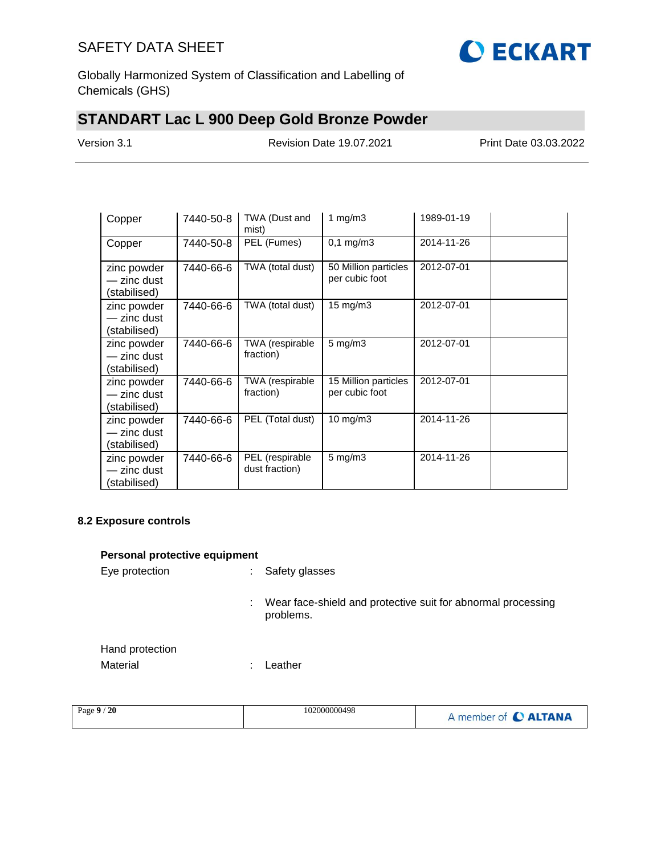

Globally Harmonized System of Classification and Labelling of Chemicals (GHS)

# **STANDART Lac L 900 Deep Gold Bronze Powder**

Version 3.1 Revision Date 19.07.2021 Print Date 03.03.2022

| Copper                                     | 7440-50-8 | TWA (Dust and<br>mist)            | 1 mg/m $3$                             | 1989-01-19 |  |
|--------------------------------------------|-----------|-----------------------------------|----------------------------------------|------------|--|
| Copper                                     | 7440-50-8 | PEL (Fumes)                       | $0,1 \, \text{mg/m3}$                  | 2014-11-26 |  |
| zinc powder<br>- zinc dust<br>(stabilised) | 7440-66-6 | TWA (total dust)                  | 50 Million particles<br>per cubic foot | 2012-07-01 |  |
| zinc powder<br>- zinc dust<br>(stabilised) | 7440-66-6 | TWA (total dust)                  | $15 \text{ mg/m}$                      | 2012-07-01 |  |
| zinc powder<br>- zinc dust<br>(stabilised) | 7440-66-6 | TWA (respirable<br>fraction)      | $5$ mg/m $3$                           | 2012-07-01 |  |
| zinc powder<br>— zinc dust<br>(stabilised) | 7440-66-6 | TWA (respirable<br>fraction)      | 15 Million particles<br>per cubic foot | 2012-07-01 |  |
| zinc powder<br>— zinc dust<br>(stabilised) | 7440-66-6 | PEL (Total dust)                  | 10 mg/m $3$                            | 2014-11-26 |  |
| zinc powder<br>- zinc dust<br>(stabilised) | 7440-66-6 | PEL (respirable<br>dust fraction) | $5 \text{ mg/m}$ 3                     | 2014-11-26 |  |

### **8.2 Exposure controls**

## **Personal protective equipment**

| Eye protection              | Safety glasses                                                                 |  |
|-----------------------------|--------------------------------------------------------------------------------|--|
|                             | Wear face-shield and protective suit for abnormal processing<br>÷<br>problems. |  |
| Hand protection<br>Material | Leather                                                                        |  |

| $^{\prime}$ 20<br>Page 9 | 102000000498 | A member of C ALTANA |
|--------------------------|--------------|----------------------|
|--------------------------|--------------|----------------------|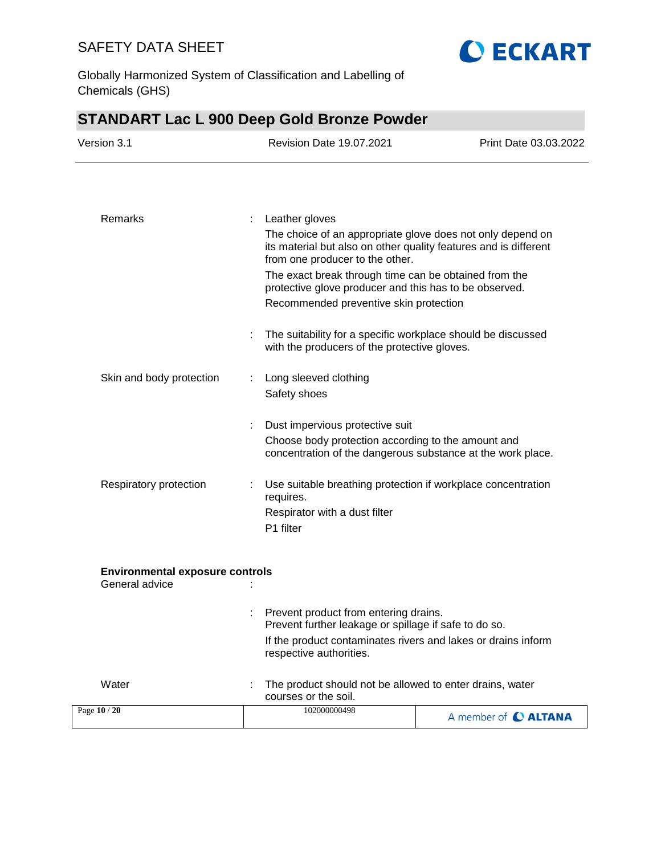

Globally Harmonized System of Classification and Labelling of Chemicals (GHS)

|                                                          |   | <b>STANDART Lac L 900 Deep Gold Bronze Powder</b>                                                                                                                 |                       |
|----------------------------------------------------------|---|-------------------------------------------------------------------------------------------------------------------------------------------------------------------|-----------------------|
| Version 3.1                                              |   | <b>Revision Date 19.07.2021</b>                                                                                                                                   | Print Date 03.03.2022 |
|                                                          |   |                                                                                                                                                                   |                       |
| Remarks                                                  | ÷ | Leather gloves                                                                                                                                                    |                       |
|                                                          |   | The choice of an appropriate glove does not only depend on<br>its material but also on other quality features and is different<br>from one producer to the other. |                       |
|                                                          |   | The exact break through time can be obtained from the<br>protective glove producer and this has to be observed.                                                   |                       |
|                                                          |   | Recommended preventive skin protection                                                                                                                            |                       |
|                                                          |   | The suitability for a specific workplace should be discussed<br>with the producers of the protective gloves.                                                      |                       |
| Skin and body protection                                 |   | Long sleeved clothing                                                                                                                                             |                       |
|                                                          |   | Safety shoes                                                                                                                                                      |                       |
|                                                          |   | Dust impervious protective suit                                                                                                                                   |                       |
|                                                          |   | Choose body protection according to the amount and<br>concentration of the dangerous substance at the work place.                                                 |                       |
| Respiratory protection                                   |   | Use suitable breathing protection if workplace concentration<br>requires.                                                                                         |                       |
|                                                          |   | Respirator with a dust filter<br>P1 filter                                                                                                                        |                       |
|                                                          |   |                                                                                                                                                                   |                       |
| <b>Environmental exposure controls</b><br>General advice |   |                                                                                                                                                                   |                       |
|                                                          |   | Prevent product from entering drains.<br>Prevent further leakage or spillage if safe to do so.                                                                    |                       |
|                                                          |   | If the product contaminates rivers and lakes or drains inform<br>respective authorities.                                                                          |                       |
| Water                                                    |   | The product should not be allowed to enter drains, water<br>courses or the soil.                                                                                  |                       |
| Page 10 / 20                                             |   | 102000000498                                                                                                                                                      | A member of C ALTANA  |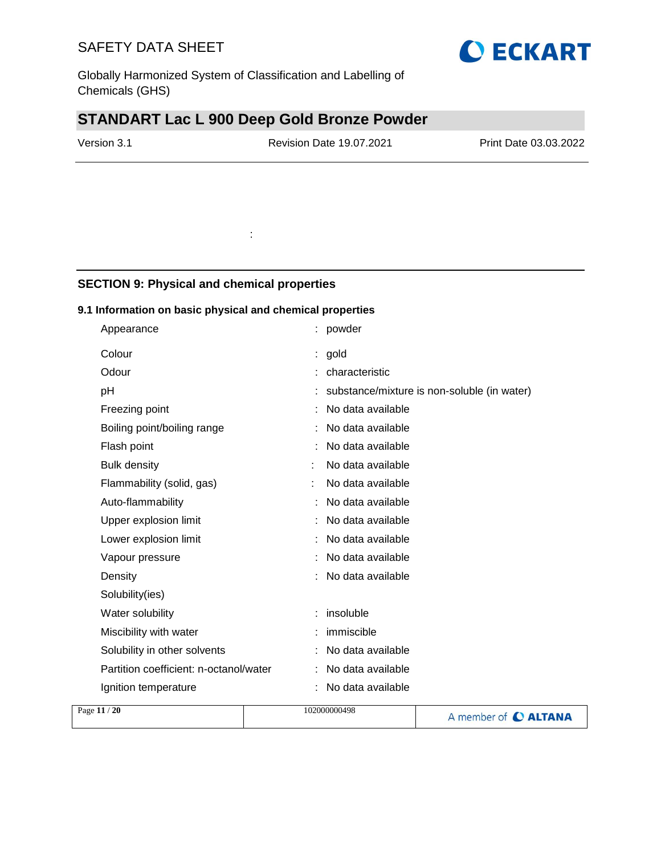Globally Harmonized System of Classification and Labelling of Chemicals (GHS)

# **STANDART Lac L 900 Deep Gold Bronze Powder**

:

Version 3.1 Revision Date 19.07.2021 Print Date 03.03.2022

## **SECTION 9: Physical and chemical properties**

### **9.1 Information on basic physical and chemical properties**

| Appearance                             | powder                                        |
|----------------------------------------|-----------------------------------------------|
| Colour                                 | gold                                          |
| Odour                                  | characteristic                                |
| рH                                     | : substance/mixture is non-soluble (in water) |
| Freezing point                         | No data available                             |
| Boiling point/boiling range            | No data available                             |
| Flash point                            | No data available                             |
| <b>Bulk density</b>                    | No data available                             |
| Flammability (solid, gas)              | No data available                             |
| Auto-flammability                      | No data available                             |
| Upper explosion limit                  | No data available                             |
| Lower explosion limit                  | No data available                             |
| Vapour pressure                        | No data available                             |
| Density                                | No data available                             |
| Solubility(ies)                        |                                               |
| Water solubility                       | insoluble                                     |
| Miscibility with water                 | immiscible                                    |
| Solubility in other solvents           | No data available                             |
| Partition coefficient: n-octanol/water | No data available                             |
| Ignition temperature                   | No data available                             |
|                                        |                                               |

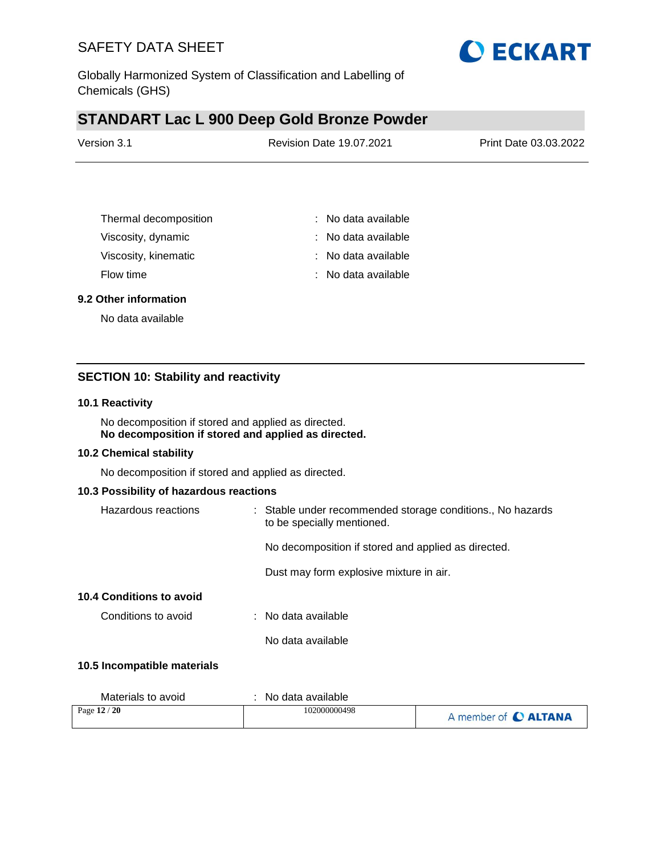

Globally Harmonized System of Classification and Labelling of Chemicals (GHS)

# **STANDART Lac L 900 Deep Gold Bronze Powder**

| Version 3.1 | <b>Revision Date 19.07.2021</b> | Print Date 03.03.2022 |
|-------------|---------------------------------|-----------------------|
|             |                                 |                       |

| Thermal decomposition | : No data available |
|-----------------------|---------------------|
| Viscosity, dynamic    | : No data available |
| Viscosity, kinematic  | : No data available |
| Flow time             | : No data available |

#### **9.2 Other information**

No data available

## **SECTION 10: Stability and reactivity**

#### **10.1 Reactivity**

No decomposition if stored and applied as directed. **No decomposition if stored and applied as directed.**

#### **10.2 Chemical stability**

No decomposition if stored and applied as directed.

#### **10.3 Possibility of hazardous reactions**

| Hazardous reactions         | : Stable under recommended storage conditions., No hazards<br>to be specially mentioned. |
|-----------------------------|------------------------------------------------------------------------------------------|
|                             | No decomposition if stored and applied as directed.                                      |
|                             | Dust may form explosive mixture in air.                                                  |
| 10.4 Conditions to avoid    |                                                                                          |
| Conditions to avoid         | $\therefore$ No data available                                                           |
|                             | No data available                                                                        |
| 10.5 Incompatible materials |                                                                                          |

| Materials to avoid | No data available |                      |
|--------------------|-------------------|----------------------|
| Page $12/20$       | 102000000498      | A member of C ALTANA |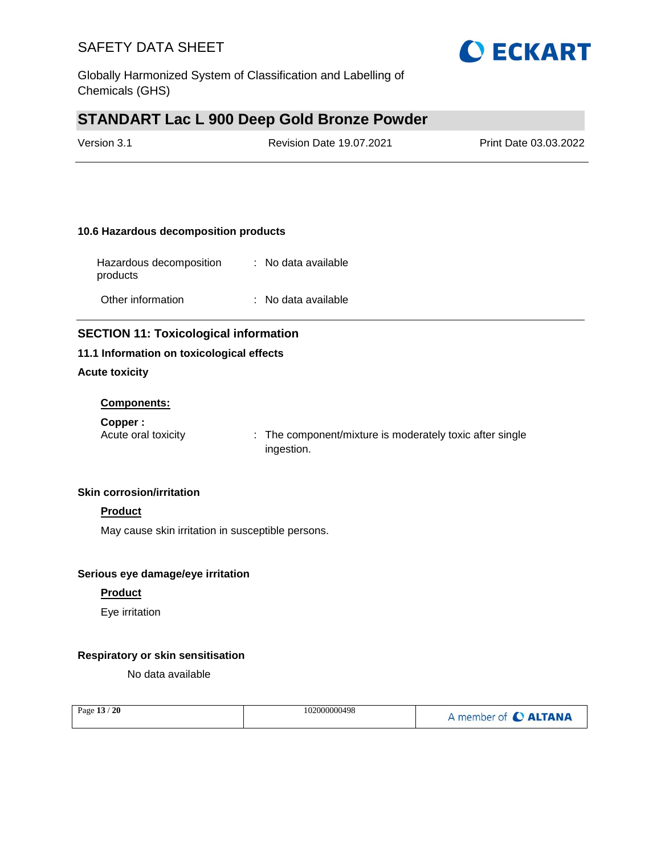

Globally Harmonized System of Classification and Labelling of Chemicals (GHS)

## **STANDART Lac L 900 Deep Gold Bronze Powder**

| Version 3.1 | <b>Revision Date 19.07.2021</b> | Print Date 03.03.2022 |
|-------------|---------------------------------|-----------------------|
|             |                                 |                       |

### **10.6 Hazardous decomposition products**

| Hazardous decomposition<br>products | : No data available |
|-------------------------------------|---------------------|
| Other information                   | : No data available |

## **SECTION 11: Toxicological information**

### **11.1 Information on toxicological effects**

### **Acute toxicity**

### **Components:**

**Copper :**

Acute oral toxicity : The component/mixture is moderately toxic after single ingestion.

### **Skin corrosion/irritation**

## **Product**

May cause skin irritation in susceptible persons.

#### **Serious eye damage/eye irritation**

### **Product**

Eye irritation

### **Respiratory or skin sensitisation**

No data available

| Page 13 / 20 | 102000000498 | A member of C ALTANA |
|--------------|--------------|----------------------|
|              |              |                      |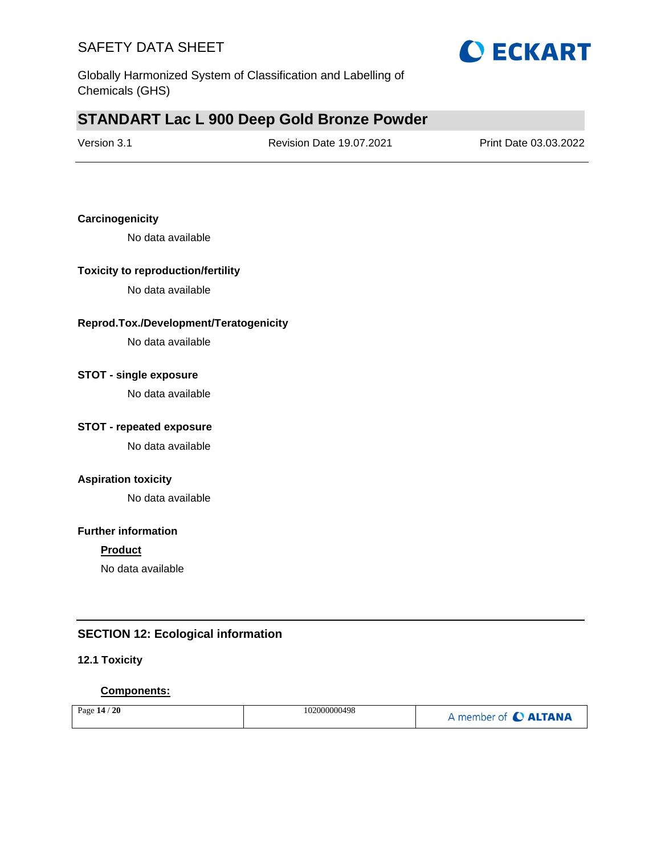

Globally Harmonized System of Classification and Labelling of Chemicals (GHS)

## **STANDART Lac L 900 Deep Gold Bronze Powder**

| Version 3.1 |
|-------------|
|-------------|

Revision Date 19.07.2021 Print Date 03.03.2022

### **Carcinogenicity**

No data available

### **Toxicity to reproduction/fertility**

No data available

### **Reprod.Tox./Development/Teratogenicity**

No data available

### **STOT - single exposure**

No data available

## **STOT - repeated exposure**

No data available

#### **Aspiration toxicity**

No data available

### **Further information**

#### **Product**

No data available

## **SECTION 12: Ecological information**

### **12.1 Toxicity**

#### **Components:**

| 102000000498<br>Page $14$<br>20 | member of C ALTANA |
|---------------------------------|--------------------|
|---------------------------------|--------------------|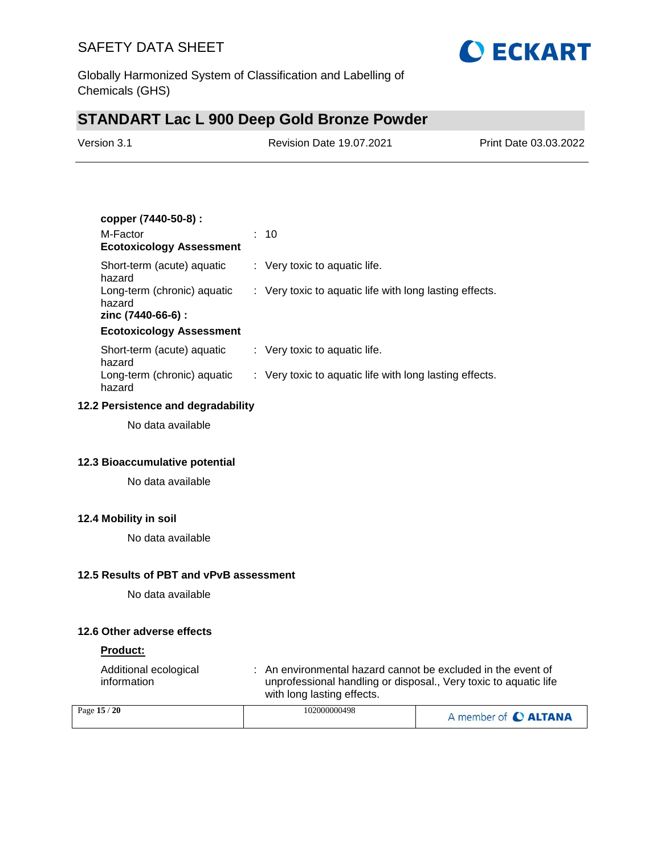

Globally Harmonized System of Classification and Labelling of Chemicals (GHS)

# **STANDART Lac L 900 Deep Gold Bronze Powder**

| Version 3.1 | <b>Revision Date 19.07.2021</b> | Print Date 03.03.2022 |
|-------------|---------------------------------|-----------------------|
|             |                                 |                       |

| copper (7440-50-8) :                                        |                                                         |
|-------------------------------------------------------------|---------------------------------------------------------|
| M-Factor<br><b>Ecotoxicology Assessment</b>                 | : 10                                                    |
| Short-term (acute) aguatic<br>hazard                        | $\therefore$ Very toxic to aquatic life.                |
| Long-term (chronic) aquatic<br>hazard<br>zinc (7440-66-6) : | : Very toxic to aquatic life with long lasting effects. |
| <b>Ecotoxicology Assessment</b>                             |                                                         |
| Short-term (acute) aquatic<br>hazard                        | $\therefore$ Very toxic to aquatic life.                |
| Long-term (chronic) aquatic<br>hazard                       | : Very toxic to aquatic life with long lasting effects. |

#### **12.2 Persistence and degradability**

No data available

### **12.3 Bioaccumulative potential**

No data available

## **12.4 Mobility in soil**

No data available

#### **12.5 Results of PBT and vPvB assessment**

No data available

## **12.6 Other adverse effects**

## **Product:**

| Additional ecological<br>information                        | : An environmental hazard cannot be excluded in the event of<br>unprofessional handling or disposal., Very toxic to aquatic life<br>with long lasting effects. |  |
|-------------------------------------------------------------|----------------------------------------------------------------------------------------------------------------------------------------------------------------|--|
| $\mathbf{1} = \mathbf{1} \cdot \mathbf{1} \cdot \mathbf{1}$ | 100000000100                                                                                                                                                   |  |

| Page 15 / 20 | 102000000498 | A member of C ALTANA |
|--------------|--------------|----------------------|
|--------------|--------------|----------------------|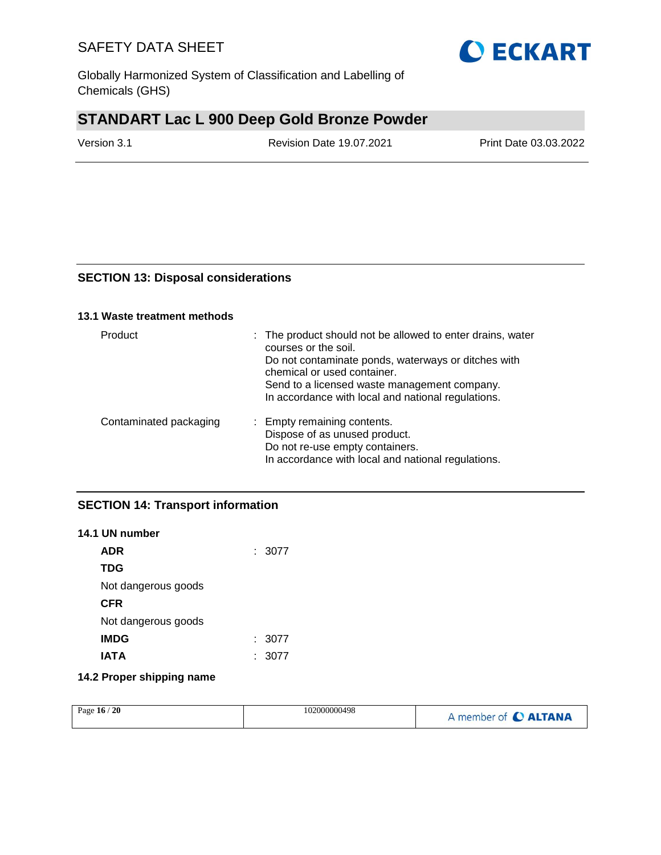Globally Harmonized System of Classification and Labelling of Chemicals (GHS)

# **STANDART Lac L 900 Deep Gold Bronze Powder**

Version 3.1 Revision Date 19.07.2021 Print Date 03.03.2022

## **SECTION 13: Disposal considerations**

### **13.1 Waste treatment methods**

| <b>Product</b>         | : The product should not be allowed to enter drains, water<br>courses or the soil.<br>Do not contaminate ponds, waterways or ditches with<br>chemical or used container.<br>Send to a licensed waste management company.<br>In accordance with local and national regulations. |
|------------------------|--------------------------------------------------------------------------------------------------------------------------------------------------------------------------------------------------------------------------------------------------------------------------------|
| Contaminated packaging | : Empty remaining contents.<br>Dispose of as unused product.<br>Do not re-use empty containers.<br>In accordance with local and national regulations.                                                                                                                          |

## **SECTION 14: Transport information**

## **14.1 UN number ADR** : 3077

| <b>TDG</b>          |      |
|---------------------|------|
| Not dangerous goods |      |
| <b>CFR</b>          |      |
| Not dangerous goods |      |
| <b>IMDG</b>         | 3077 |
| <b>IATA</b>         | 3077 |
|                     |      |

## **14.2 Proper shipping name**

| $\sqrt{20}$<br>Page $16/$ | 102000000498 | A member of <b>C ALTANA</b> |
|---------------------------|--------------|-----------------------------|
|---------------------------|--------------|-----------------------------|

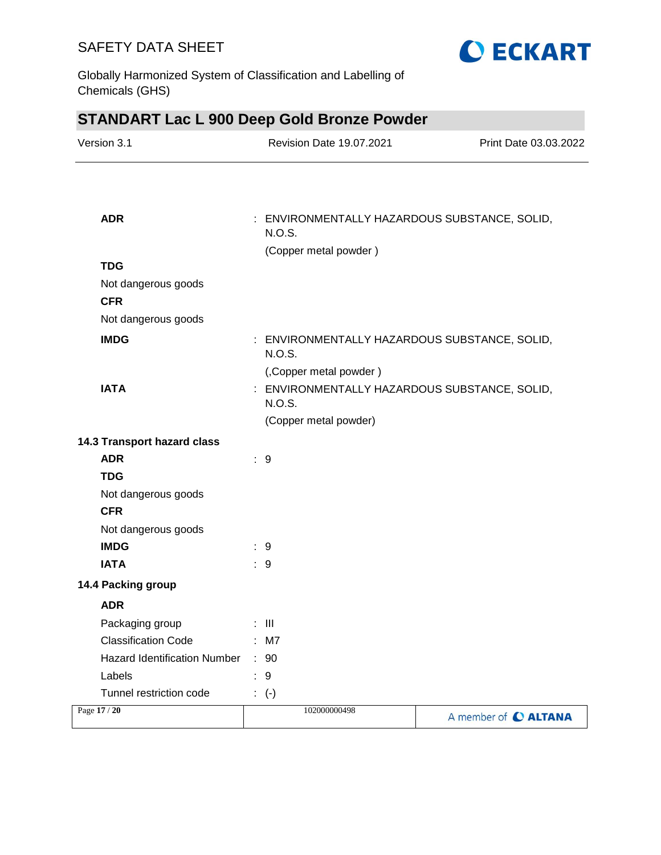Globally Harmonized System of Classification and Labelling of Chemicals (GHS)



**O ECKART**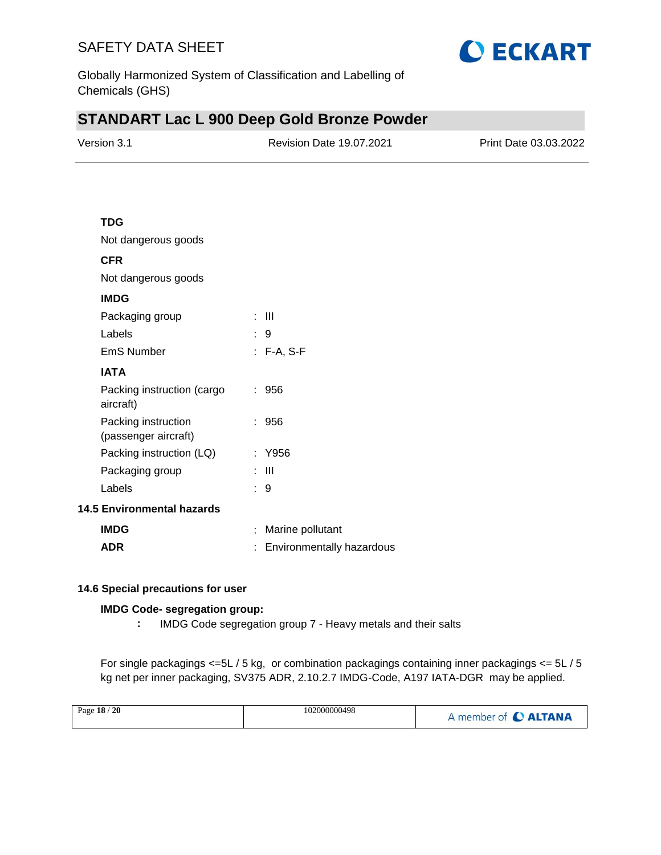

Globally Harmonized System of Classification and Labelling of Chemicals (GHS)

# **STANDART Lac L 900 Deep Gold Bronze Powder**

| Version 3.1 | <b>Revision Date 19.07.2021</b> | Print Date 03.03.2022 |
|-------------|---------------------------------|-----------------------|
|             |                                 |                       |

## **TDG**

Not dangerous goods

## **CFR**

Not dangerous goods

## **IMDG**

| ┉                                           |            |
|---------------------------------------------|------------|
| Packaging group                             | : III      |
| Labels                                      | : 9        |
| EmS Number                                  | : F-A, S-F |
| IATA                                        |            |
| Packing instruction (cargo<br>aircraft)     | : 956      |
| Packing instruction<br>(passenger aircraft) | : 956      |
| Packing instruction (LQ)                    | : Y956     |
| Packaging group                             | : III      |
| Labels                                      | : 9        |
| 5 Environmental hazards                     |            |

### **14.5 Environmental hazards**

| <b>IMDG</b> | : Marine pollutant          |
|-------------|-----------------------------|
| <b>ADR</b>  | : Environmentally hazardous |

### **14.6 Special precautions for user**

### **IMDG Code- segregation group:**

**:** IMDG Code segregation group 7 - Heavy metals and their salts

For single packagings <=5L / 5 kg, or combination packagings containing inner packagings <= 5L / 5 kg net per inner packaging, SV375 ADR, 2.10.2.7 IMDG-Code, A197 IATA-DGR may be applied.

| Page 18 / 20 | 102000000498 | A member of C ALTANA |
|--------------|--------------|----------------------|
|--------------|--------------|----------------------|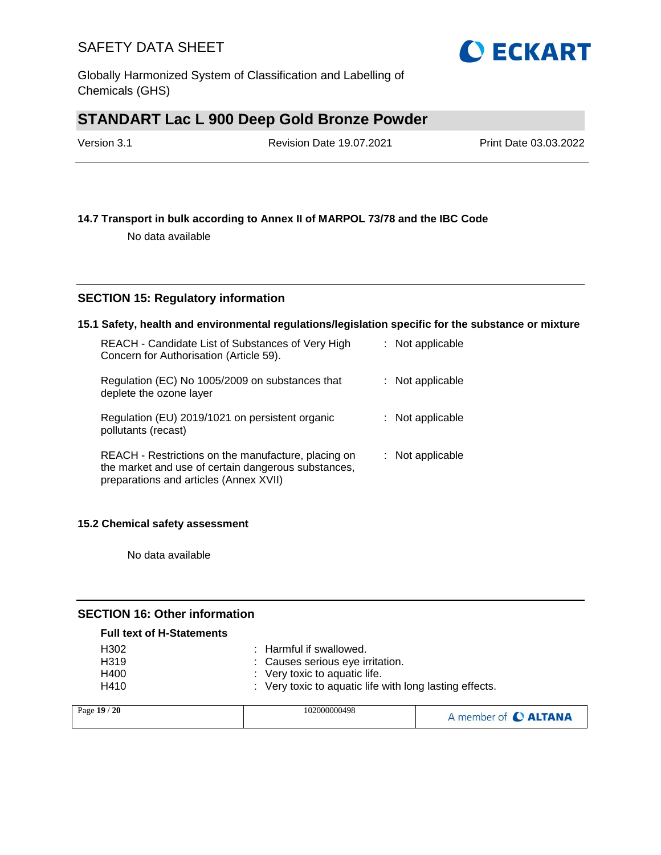Globally Harmonized System of Classification and Labelling of Chemicals (GHS)

# **STANDART Lac L 900 Deep Gold Bronze Powder**

| Version 3.1 | <b>Revision Date 19.07.2021</b> | Print Date 03.03.2022 |
|-------------|---------------------------------|-----------------------|
|             |                                 |                       |

## **14.7 Transport in bulk according to Annex II of MARPOL 73/78 and the IBC Code**

No data available

## **SECTION 15: Regulatory information**

### **15.1 Safety, health and environmental regulations/legislation specific for the substance or mixture**

| REACH - Candidate List of Substances of Very High<br>Concern for Authorisation (Article 59).                                                         | : Not applicable   |
|------------------------------------------------------------------------------------------------------------------------------------------------------|--------------------|
| Regulation (EC) No 1005/2009 on substances that<br>deplete the ozone layer                                                                           | $:$ Not applicable |
| Regulation (EU) 2019/1021 on persistent organic<br>pollutants (recast)                                                                               | : Not applicable   |
| REACH - Restrictions on the manufacture, placing on<br>the market and use of certain dangerous substances,<br>preparations and articles (Annex XVII) | : Not applicable   |

#### **15.2 Chemical safety assessment**

No data available

#### **SECTION 16: Other information**

| <b>Full text of H-Statements</b> |                                                         |
|----------------------------------|---------------------------------------------------------|
| H302                             | $\therefore$ Harmful if swallowed.                      |
| H <sub>3</sub> 19                | : Causes serious eye irritation.                        |
| H400                             | $\therefore$ Very toxic to aquatic life.                |
| H410                             | : Very toxic to aquatic life with long lasting effects. |
|                                  |                                                         |

| Page 19 / 20 | 102000000498 | A member of C ALTANA |
|--------------|--------------|----------------------|
|--------------|--------------|----------------------|